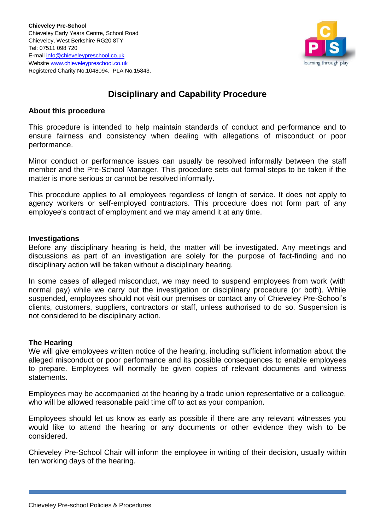

# **Disciplinary and Capability Procedure**

### **About this procedure**

This procedure is intended to help maintain standards of conduct and performance and to ensure fairness and consistency when dealing with allegations of misconduct or poor performance.

Minor conduct or performance issues can usually be resolved informally between the staff member and the Pre-School Manager. This procedure sets out formal steps to be taken if the matter is more serious or cannot be resolved informally.

This procedure applies to all employees regardless of length of service. It does not apply to agency workers or self-employed contractors. This procedure does not form part of any employee's contract of employment and we may amend it at any time.

### **Investigations**

Before any disciplinary hearing is held, the matter will be investigated. Any meetings and discussions as part of an investigation are solely for the purpose of fact-finding and no disciplinary action will be taken without a disciplinary hearing.

In some cases of alleged misconduct, we may need to suspend employees from work (with normal pay) while we carry out the investigation or disciplinary procedure (or both). While suspended, employees should not visit our premises or contact any of Chieveley Pre-School's clients, customers, suppliers, contractors or staff, unless authorised to do so. Suspension is not considered to be disciplinary action.

### **The Hearing**

We will give employees written notice of the hearing, including sufficient information about the alleged misconduct or poor performance and its possible consequences to enable employees to prepare. Employees will normally be given copies of relevant documents and witness statements.

Employees may be accompanied at the hearing by a trade union representative or a colleague, who will be allowed reasonable paid time off to act as your companion.

Employees should let us know as early as possible if there are any relevant witnesses you would like to attend the hearing or any documents or other evidence they wish to be considered.

Chieveley Pre-School Chair will inform the employee in writing of their decision, usually within ten working days of the hearing.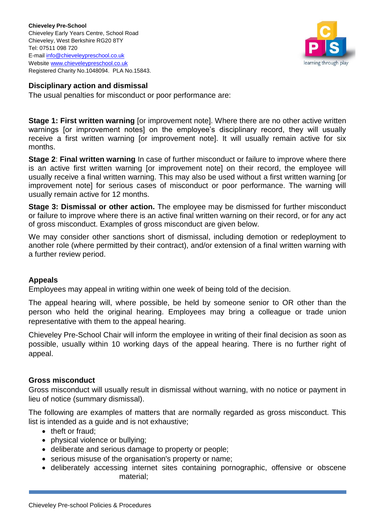

# **Disciplinary action and dismissal**

The usual penalties for misconduct or poor performance are:

**Stage 1: First written warning** [or improvement note]. Where there are no other active written warnings [or improvement notes] on the employee's disciplinary record, they will usually receive a first written warning [or improvement note]. It will usually remain active for six months.

**Stage 2**: **Final written warning** In case of further misconduct or failure to improve where there is an active first written warning [or improvement note] on their record, the employee will usually receive a final written warning. This may also be used without a first written warning [or improvement note] for serious cases of misconduct or poor performance. The warning will usually remain active for 12 months.

**Stage 3: Dismissal or other action.** The employee may be dismissed for further misconduct or failure to improve where there is an active final written warning on their record, or for any act of gross misconduct. Examples of gross misconduct are given below.

We may consider other sanctions short of dismissal, including demotion or redeployment to another role (where permitted by their contract), and/or extension of a final written warning with a further review period.

## **Appeals**

Employees may appeal in writing within one week of being told of the decision.

The appeal hearing will, where possible, be held by someone senior to OR other than the person who held the original hearing. Employees may bring a colleague or trade union representative with them to the appeal hearing.

Chieveley Pre-School Chair will inform the employee in writing of their final decision as soon as possible, usually within 10 working days of the appeal hearing. There is no further right of appeal.

## **Gross misconduct**

Gross misconduct will usually result in dismissal without warning, with no notice or payment in lieu of notice (summary dismissal).

The following are examples of matters that are normally regarded as gross misconduct. This list is intended as a guide and is not exhaustive;

- theft or fraud;
- physical violence or bullying;
- deliberate and serious damage to property or people;
- serious misuse of the organisation's property or name;
- deliberately accessing internet sites containing pornographic, offensive or obscene material;